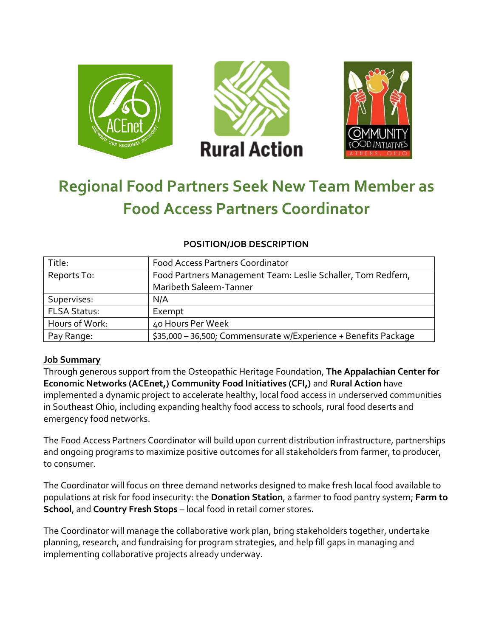

# **Regional Food Partners Seek New Team Member as Food Access Partners Coordinator**

| Title:              | <b>Food Access Partners Coordinator</b>                         |
|---------------------|-----------------------------------------------------------------|
| Reports To:         | Food Partners Management Team: Leslie Schaller, Tom Redfern,    |
|                     | Maribeth Saleem-Tanner                                          |
| Supervises:         | N/A                                                             |
| <b>FLSA Status:</b> | Exempt                                                          |
| Hours of Work:      | 40 Hours Per Week                                               |
| Pay Range:          | \$35,000 - 36,500; Commensurate w/Experience + Benefits Package |

### **POSITION/JOB DESCRIPTION**

## **Job Summary**

Through generous support from the Osteopathic Heritage Foundation, **The Appalachian Center for Economic Networks (ACEnet,) Community Food Initiatives (CFI,)** and **Rural Action** have implemented a dynamic project to accelerate healthy, local food access in underserved communities in Southeast Ohio, including expanding healthy food access to schools, rural food deserts and emergency food networks.

The Food Access Partners Coordinator will build upon current distribution infrastructure, partnerships and ongoing programs to maximize positive outcomes for all stakeholders from farmer, to producer, to consumer.

The Coordinator will focus on three demand networks designed to make fresh local food available to populations at risk for food insecurity: the **Donation Station**, a farmer to food pantry system; **Farm to School**, and **Country Fresh Stops** – local food in retail corner stores.

The Coordinator will manage the collaborative work plan, bring stakeholders together, undertake planning, research, and fundraising for program strategies, and help fill gaps in managing and implementing collaborative projects already underway.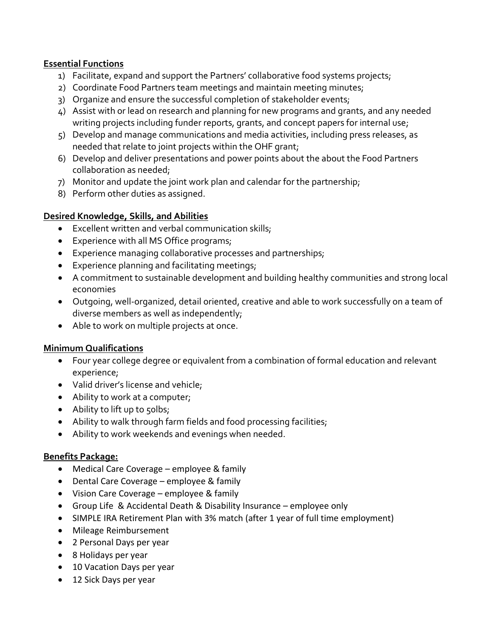## **Essential Functions**

- 1) Facilitate, expand and support the Partners' collaborative food systems projects;
- 2) Coordinate Food Partners team meetings and maintain meeting minutes;
- 3) Organize and ensure the successful completion of stakeholder events;
- 4) Assist with or lead on research and planning for new programs and grants, and any needed writing projects including funder reports, grants, and concept papers for internal use;
- 5) Develop and manage communications and media activities, including press releases, as needed that relate to joint projects within the OHF grant;
- 6) Develop and deliver presentations and power points about the about the Food Partners collaboration as needed;
- 7) Monitor and update the joint work plan and calendar for the partnership;
- 8) Perform other duties as assigned.

## **Desired Knowledge, Skills, and Abilities**

- Excellent written and verbal communication skills;
- Experience with all MS Office programs;
- Experience managing collaborative processes and partnerships;
- Experience planning and facilitating meetings;
- A commitment to sustainable development and building healthy communities and strong local economies
- Outgoing, well-organized, detail oriented, creative and able to work successfully on a team of diverse members as well as independently;
- Able to work on multiple projects at once.

### **Minimum Qualifications**

- Four year college degree or equivalent from a combination of formal education and relevant experience;
- Valid driver's license and vehicle;
- Ability to work at a computer;
- Ability to lift up to 50lbs;
- Ability to walk through farm fields and food processing facilities;
- Ability to work weekends and evenings when needed.

### **Benefits Package:**

- Medical Care Coverage employee & family
- Dental Care Coverage employee & family
- Vision Care Coverage employee & family
- Group Life & Accidental Death & Disability Insurance employee only
- SIMPLE IRA Retirement Plan with 3% match (after 1 year of full time employment)
- Mileage Reimbursement
- 2 Personal Days per year
- 8 Holidays per year
- 10 Vacation Days per year
- 12 Sick Days per year